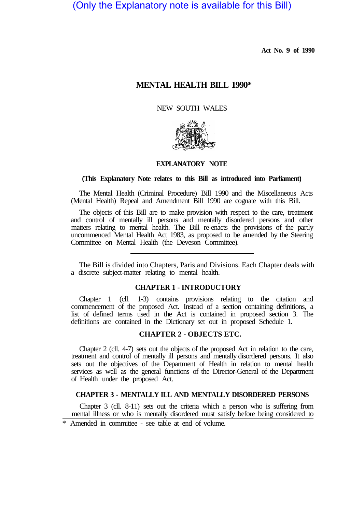(Only the Explanatory note is available for this Bill)

**Act No. 9 of 1990** 

# **MENTAL HEALTH BILL 1990\***

NEW SOUTH WALES



### **EXPLANATORY NOTE**

## **(This Explanatory Note relates to this Bill as introduced into Parliament)**

The Mental Health (Criminal Procedure) Bill 1990 and the Miscellaneous Acts (Mental Health) Repeal and Amendment Bill 1990 are cognate with this Bill.

The objects of this Bill are to make provision with respect to the care, treatment and control of mentally ill persons and mentally disordered persons and other matters relating to mental health. The Bill re-enacts the provisions of the partly uncommenced Mental Health Act 1983, as proposed to be amended by the Steering Committee on Mental Health (the Deveson Committee).

The Bill is divided into Chapters, Paris and Divisions. Each Chapter deals with a discrete subject-matter relating to mental health.

# **CHAPTER 1 - INTRODUCTORY**

Chapter 1 (cll. 1-3) contains provisions relating to the citation and commencement of the proposed Act. Instead of a section containing definitions, a list of defined terms used in the Act is contained in proposed section 3. The definitions are contained in the Dictionary set out in proposed Schedule 1.

# **CHAPTER 2 - OBJECTS ETC.**

Chapter 2 (cll. 4-7) sets out the objects of the proposed Act in relation to the care, treatment and control of mentally ill persons and mentally disordered persons. It also sets out the objectives of the Department of Health in relation to mental health services as well as the general functions of the Director-General of the Department of Health under the proposed Act.

## **CHAPTER 3 - MENTALLY ILL AND MENTALLY DISORDERED PERSONS**

Chapter 3 (cll. 8-11) sets out the criteria which a person who is suffering from mental illness or who is mentally disordered must satisfy before being considered to

\* Amended in committee - see table at end of volume.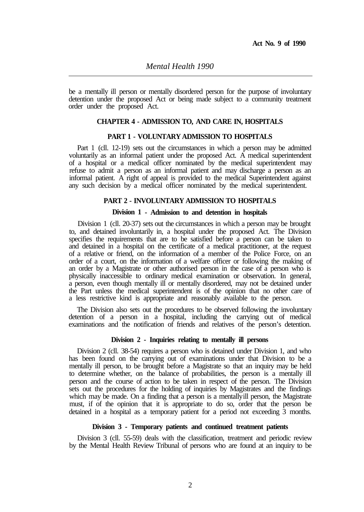be a mentally ill person or mentally disordered person for the purpose of involuntary detention under the proposed Act or being made subject to a community treatment order under the proposed Act.

# **CHAPTER 4 - ADMISSION TO, AND CARE IN, HOSPITALS**

#### **PART 1 - VOLUNTARY ADMISSION TO HOSPITALS**

Part 1 (cll. 12-19) sets out the circumstances in which a person may be admitted voluntarily as an informal patient under the proposed Act. A medical superintendent of a hospital or a medical officer nominated by the medical superintendent may refuse to admit a person as an informal patient and may discharge a person as an informal patient. A right of appeal is provided to the medical Superintendent against any such decision by a medical officer nominated by the medical superintendent.

## **PART 2 - INVOLUNTARY ADMISSION TO HOSPITALS**

## **Division 1 - Admission to and detention in hospitals**

Division 1 (cll. 20-37) sets out the circumstances in which a person may be brought to, and detained involuntarily in, a hospital under the proposed Act. The Division specifies the requirements that are to be satisfied before a person can be taken to and detained in a hospital on the certificate of a medical practitioner, at the request of a relative or friend, on the information of a member of the Police Force, on an order of a court, on the information of a welfare officer or following the making of an order by a Magistrate or other authorised person in the case of a person who is physically inaccessible to ordinary medical examination or observation. In general, a person, even though mentally ill or mentally disordered, may not be detained under the Part unless the medical superintendent is of the opinion that no other care of a less restrictive kind is appropriate and reasonably available to the person.

The Division also sets out the procedures to be observed following the involuntary detention of a person in a hospital, including the carrying out of medical examinations and the notification of friends and relatives of the person's detention.

## **Division 2 - Inquiries relating to mentally ill persons**

Division 2 (cll. 38-54) requires a person who is detained under Division 1, and who has been found on the carrying out of examinations under that Division to be a mentally ill person, to be brought before a Magistrate so that an inquiry may be held to determine whether, on the balance of probabilities, the person is a mentally ill person and the course of action to be taken in respect of the person. The Division sets out the procedures for the holding of inquiries by Magistrates and the findings which may be made. On a finding that a person is a mentally ill person, the Magistrate must, if of the opinion that it is appropriate to do so, order that the person be detained in a hospital as a temporary patient for a period not exceeding 3 months.

## **Division 3 - Temporary patients and continued treatment patients**

Division 3 (cll. 55-59) deals with the classification, treatment and periodic review by the Mental Health Review Tribunal of persons who are found at an inquiry to be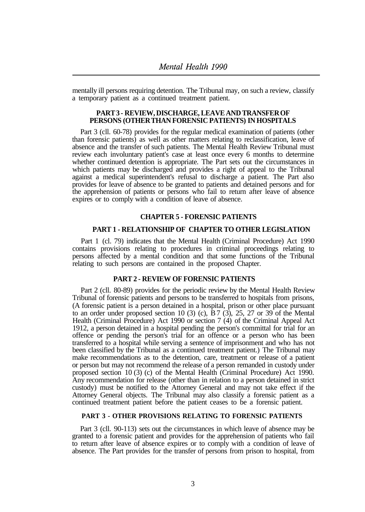mentally ill persons requiring detention. The Tribunal may, on such a review, classify a temporary patient as a continued treatment patient.

## **PART 3 - REVIEW, DISCHARGE, LEAVE AND TRANSFER OF PERSONS (OTHER THAN FORENSIC PATIENTS) IN HOSPITALS**

Part 3 (cll. 60-78) provides for the regular medical examination of patients (other than forensic patients) as well as other matters relating to reclassification, leave of absence and the transfer of such patients. The Mental Health Review Tribunal must review each involuntary patient's case at least once every 6 months to determine whether continued detention is appropriate. The Part sets out the circumstances in which patients may be discharged and provides a right of appeal to the Tribunal against a medical superintendent's refusal to discharge a patient. The Part also provides for leave of absence to be granted to patients and detained persons and for the apprehension of patients or persons who fail to return after leave of absence expires or to comply with a condition of leave of absence.

# **CHAPTER 5 - FORENSIC PATIENTS**

## **PART 1 - RELATIONSHIP OF CHAPTER TO OTHER LEGISLATION**

Part 1 (cl. 79) indicates that the Mental Health (Criminal Procedure) Act 1990 contains provisions relating to procedures in criminal proceedings relating to persons affected by a mental condition and that some functions of the Tribunal relating to such persons are contained in the proposed Chapter.

## **PART 2 - REVIEW OF FORENSIC PATIENTS**

Part 2 (cll. 80-89) provides for the periodic review by the Mental Health Review Tribunal of forensic patients and persons to be transferred to hospitals from prisons, (A forensic patient is a person detained in a hospital, prison or other place pursuant to an order under proposed section 10 (3) (c),  $\overline{B}7$  (3), 25, 27 or 39 of the Mental Health (Criminal Procedure) Act 1990 or section 7 (4) of the Criminal Appeal Act 1912, a person detained in a hospital pending the person's committal for trial for an offence or pending the person's trial for an offence or a person who has been transferred to a hospital while serving a sentence of imprisonment and who has not been classified by the Tribunal as a continued treatment patient.) The Tribunal may make recommendations as to the detention, care, treatment or release of a patient or person but may not recommend the release of a person remanded in custody under proposed section 10 (3) (c) of the Mental Health (Criminal Procedure) Act 1990. Any recommendation for release (other than in relation to a person detained in strict custody) must be notified to the Attorney General and may not take effect if the Attorney General objects. The Tribunal may also classify a forensic patient as a continued treatment patient before the patient ceases to be a forensic patient.

# **PART 3 - OTHER PROVISIONS RELATING TO FORENSIC PATIENTS**

Part 3 (cll. 90-113) sets out the circumstances in which leave of absence may be granted to a forensic patient and provides for the apprehension of patients who fail to return after leave of absence expires or to comply with a condition of leave of absence. The Part provides for the transfer of persons from prison to hospital, from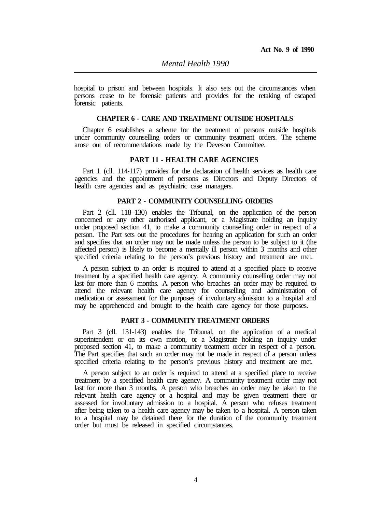hospital to prison and between hospitals. It also sets out the circumstances when persons cease to be forensic patients and provides for the retaking of escaped forensic patients.

## **CHAPTER 6 - CARE AND TREATMENT OUTSIDE HOSPITALS**

Chapter 6 establishes a scheme for the treatment of persons outside hospitals under community counselling orders or community treatment orders. The scheme arose out of recommendations made by the Deveson Committee.

## **PART 11 - HEALTH CARE AGENCIES**

Part 1 (cll. 114-117) provides for the declaration of health services as health care agencies and the appointment of persons as Directors and Deputy Directors of health care agencies and as psychiatric case managers.

## **PART 2 - COMMUNITY COUNSELLING ORDERS**

Part 2 (cll. 118–130) enables the Tribunal, on the application of the person concerned or any other authorised applicant, or a Magistrate holding an inquiry under proposed section 41, to make a community counselling order in respect of a person. The Part sets out the procedures for hearing an application for such an order and specifies that an order may not be made unless the person to be subject to it (the affected person) is likely to become a mentally ill person within 3 months and other specified criteria relating to the person's previous history and treatment are met.

A person subject to an order is required to attend at a specified place to receive treatment by a specified health care agency. A community counselling order may not last for more than 6 months. A person who breaches an order may be required to attend the relevant health care agency for counselling and administration of medication or assessment for the purposes of involuntary admission to a hospital and may be apprehended and brought to the health care agency for those purposes.

# **PART 3 - COMMUNITY TREATMENT ORDERS**

Part 3 (cll. 131-143) enables the Tribunal, on the application of a medical superintendent or on its own motion, or a Magistrate holding an inquiry under proposed section 41, to make a community treatment order in respect of a person. The Part specifies that such an order may not be made in respect of a person unless specified criteria relating to the person's previous history and treatment are met.

A person subject to an order is required to attend at a specified place to receive treatment by a specified health care agency. A community treatment order may not last for more than 3 months. A person who breaches an order may be taken to the relevant health care agency or a hospital and may be given treatment there or assessed for involuntary admission to a hospital. A person who refuses treatment after being taken to a health care agency may be taken to a hospital. A person taken to a hospital may be detained there for the duration of the community treatment order but must be released in specified circumstances.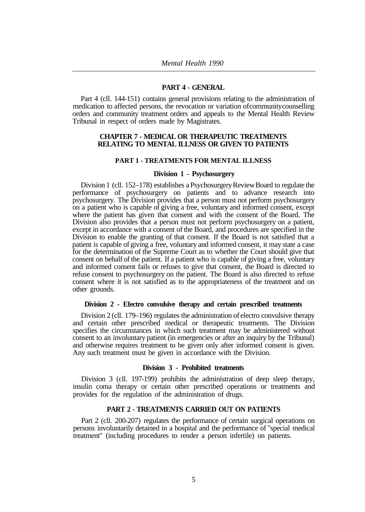#### **PART 4 - GENERAL**

Part 4 (cll. 144-151) contains general provisions relating to the administration of medication to affected persons, the revocation or variation of community counselling orders and community treatment orders and appeals to the Mental Health Review Tribunal in respect of orders made by Magistrates.

## **CHAPTER 7 - MEDICAL OR THERAPEUTIC TREATMENTS RELATING TO MENTAL ILLNESS OR GIVEN TO PATIENTS**

#### **PART 1 - TREATMENTS FOR MENTAL ILLNESS**

#### **Division 1 - Psychosurgery**

Division 1 (cll. 152–178) establishes a Psychosurgery Review Board to regulate the performance of psychosurgery on patients and to advance research into psychosurgery. The Division provides that a person must not perform psychosurgery on a patient who is capable of giving a free, voluntary and informed consent, except where the patient has given that consent and with the consent of the Board. The Division also provides that a person must not perform psychosurgery on a patient, except in accordance with a consent of the Board, and procedures are specified in the Division to enable the granting of that consent. If the Board is not satisfied that a patient is capable of giving a free, voluntary and informed consent, it may state a case for the determination of the Supreme Court as to whether the Court should give that consent on behalf of the patient. If a patient who is capable of giving a free, voluntary and informed consent fails or refuses to give that consent, the Board is directed to refuse consent to psychosurgery on the patient. The Board is also directed to refuse consent where it is not satisfied as to the appropriateness of the treatment and on other grounds.

#### **Division 2 - EIectro convulsive therapy and certain prescribed treatments**

Division 2 (cll. 179–196) regulates the administration of electro convulsive therapy and certain other prescribed medical or therapeutic treatments. The Division specifies the circumstances in which such treatment may be administered without consent to an involuntary patient (in emergencies or after an inquiry by the Tribunal) and otherwise requires treatment to be given only after informed consent is given. Any such treatment must be given in accordance with the Division.

## **Division 3 - Prohibited treatments**

Division 3 (cll. 197-199) prohibits the administration of deep sleep therapy, insulin coma therapy or certain other prescribed operations or treatments and provides for the regulation of the administration of drugs.

# **PART 2 - TREATMENTS CARRIED OUT ON PATIENTS**

Part 2 (cll. 200-207) regulates the performance of certain surgical operations on persons involuntarily detained in a hospital and the performance of "special medical treatment" (including procedures to render a person infertile) on patients.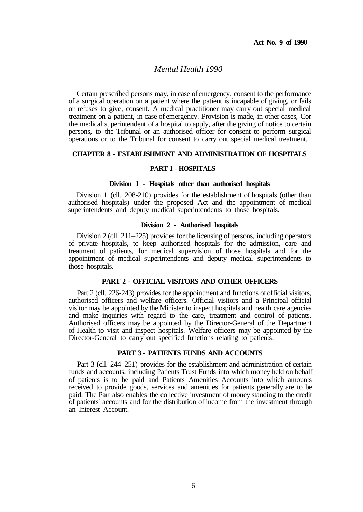Certain prescribed persons may, in case of emergency, consent to the performance of a surgical operation on a patient where the patient is incapable of giving, or fails or refuses to give, consent. A medical practitioner may carry out special medical treatment on a patient, in case of emergency. Provision is made, in other cases, Cor the medical superintendent of a hospital to apply, after the giving of notice to certain persons, to the Tribunal or an authorised officer for consent to perform surgical operations or to the Tribunal for consent to carry out special medical treatment.

# **CHAPTER 8 - ESTABLISHMENT AND ADMINISTRATION OF HOSPITALS**

### **PART 1 - HOSPITALS**

## **Division 1 - Hospitals other than authorised hospitals**

Division 1 (cll. 208-210) provides for the establishment of hospitals (other than authorised hospitals) under the proposed Act and the appointment of medical superintendents and deputy medical superintendents to those hospitals.

#### **Division 2 - Authorised hospitals**

Division 2 (cll. 211–225) provides for the licensing of persons, including operators of private hospitals, to keep authorised hospitals for the admission, care and treatment of patients, for medical supervision of those hospitals and for the appointment of medical superintendents and deputy medical superintendents to those hospitals.

# **PART 2 - OFFICIAL VISITORS AND OTHER OFFICERS**

Part 2 (cll. 226-243) provides for the appointment and functions of official visitors, authorised officers and welfare officers. Official visitors and a Principal official visitor may be appointed by the Minister to inspect hospitals and health care agencies and make inquiries with regard to the care, treatment and control of patients. Authorised officers may be appointed by the Director-General of the Department of Health to visit and inspect hospitals. Welfare officers may be appointed by the Director-General to carry out specified functions relating to patients.

# **PART 3 - PATIENTS FUNDS AND ACCOUNTS**

Part 3 (cll. 244–251) provides for the establishment and administration of certain funds and accounts, including Patients Trust Funds into which money held on behalf of patients is to be paid and Patients Amenities Accounts into which amounts received to provide goods, services and amenities for patients generally are to be paid. The Part also enables the collective investment of money standing to the credit of patients' accounts and for the distribution of income from the investment through an Interest Account.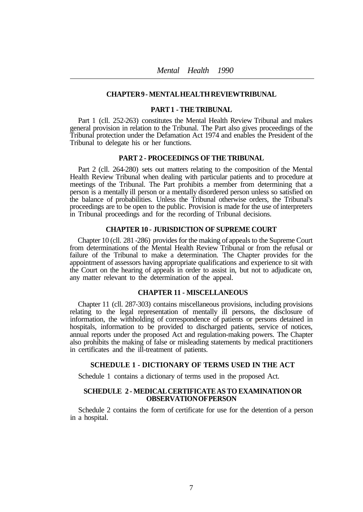## **CHAPTER 9 - MENTAL HEALTH REVIEW TRIBUNAL**

## **PART 1 - THE TRIBUNAL**

Part 1 (cll. 252-263) constitutes the Mental Health Review Tribunal and makes general provision in relation to the Tribunal. The Part also gives proceedings of the Tribunal protection under the Defamation Act 1974 and enables the President of the Tribunal to delegate his or her functions.

### **PART 2 - PROCEEDINGS OF THE TRIBUNAL**

Part 2 (cll. 264-280) sets out matters relating to the composition of the Mental Health Review Tribunal when dealing with particular patients and to procedure at meetings of the Tribunal. The Part prohibits a member from determining that a person is a mentally ill person or a mentally disordered person unless so satisfied on the balance of probabilities. Unless the Tribunal otherwise orders, the Tribunal's proceedings are to be open to the public. Provision is made for the use of interpreters in Tribunal proceedings and for the recording of Tribunal decisions.

## **CHAPTER 10 - JURISDICTION OF SUPREME COURT**

Chapter 10 (cll. 281 -286) provides for the making of appeals to the Supreme Court from determinations of the Mental Health Review Tribunal or from the refusal or failure of the Tribunal to make a determination. The Chapter provides for the appointment of assessors having appropriate qualifications and experience to sit with the Court on the hearing of appeals in order to assist in, but not to adjudicate on, any matter relevant to the determination of the appeal.

## **CHAPTER 11 - MISCELLANEOUS**

Chapter 11 (cll. 287-303) contains miscellaneous provisions, including provisions relating to the legal representation of mentally ill persons, the disclosure of information, the withholding of correspondence of patients or persons detained in hospitals, information to be provided to discharged patients, service of notices, annual reports under the proposed Act and regulation-making powers. The Chapter also prohibits the making of false or misleading statements by medical practitioners in certificates and the ill-treatment of patients.

# **SCHEDULE 1 - DICTIONARY OF TERMS USED IN THE ACT**

Schedule 1 contains a dictionary of terms used in the proposed Act.

## **SCHEDULE 2 - MEDICAL CERTIFICATE AS TO EXAMINATION OR OBSERVATION OF PERSON**

Schedule 2 contains the form of certificate for use for the detention of a person in a hospital.